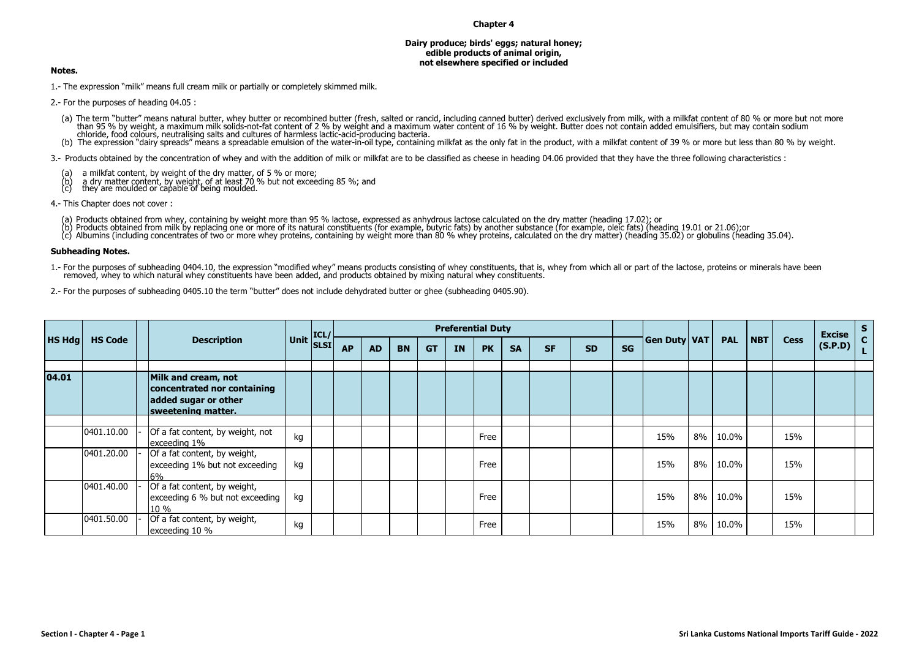## **Chapter 4**

## **Dairy produce; birds' eggs; natural honey; edible products of animal origin, not elsewhere specified or included**

## **Notes.**

1.- The expression "milk" means full cream milk or partially or completely skimmed milk.

2.- For the purposes of heading 04.05 :

- (a) The term "butter" means natural butter, whey butter or recombined butter (fresh, salted or rancid, including canned butter) derived exclusively from milk, with a milkfat content of 80 % or more but not more<br>than 95 % b
- chloride, food colours, neutralising salts and cultures of harmless lactic-acid-producing bacteria.<br>(b) The expression "dairy spreads" means a spreadable emulsion of the water-in-oil type, containing milkfat as the only fa

3.- Products obtained by the concentration of whey and with the addition of milk or milkfat are to be classified as cheese in heading 04.06 provided that they have the three following characteristics :

- 
- (a) a milkfat content, by weight of the dry matter, of 5 % or more; (b) a dry matter content, by weight, of at least 70 % but not exceeding 85 %; and (c) they are moulded or capable of being moulded.
- 
- 4.- This Chapter does not cover :
	-
	-
	- (a) Products obtained from whey, containing by weight more than 95 % lactose, expressed as anhydrous lactose calculated on the dry matter (heading 17.02); or<br>(b) Products obtained from milk by replacing one or more of its

## **Subheading Notes.**

- 1.- For the purposes of subheading 0404.10, the expression "modified whey" means products consisting of whey constituents, that is, whey from which all or part of the lactose, proteins or minerals have been removed, whey to which natural whey constituents have been added, and products obtained by mixing natural whey constituents.
- 2.- For the purposes of subheading 0405.10 the term "butter" does not include dehydrated butter or ghee (subheading 0405.90).

|               |                |                                                                                                  |                                                        |           |           |           |           | <b>Preferential Duty</b> |           |           |           |           |           |                     |       |            |         | <b>Cess</b> | <b>Excise</b> | S. |
|---------------|----------------|--------------------------------------------------------------------------------------------------|--------------------------------------------------------|-----------|-----------|-----------|-----------|--------------------------|-----------|-----------|-----------|-----------|-----------|---------------------|-------|------------|---------|-------------|---------------|----|
| <b>HS Hdg</b> | <b>HS Code</b> | <b>Description</b>                                                                               | $\bigg \textsf{Unit}\bigg \textsf{ICL}/\bigg $<br>SLSI | <b>AP</b> | <b>AD</b> | <b>BN</b> | <b>GT</b> | <b>IN</b>                | <b>PK</b> | <b>SA</b> | <b>SF</b> | <b>SD</b> | <b>SG</b> | <b>Gen Duty VAT</b> |       | <b>PAL</b> | $ $ NBT |             | (S.P.D)       |    |
|               |                |                                                                                                  |                                                        |           |           |           |           |                          |           |           |           |           |           |                     |       |            |         |             |               |    |
| 04.01         |                | Milk and cream, not<br>concentrated nor containing<br>added sugar or other<br>sweetening matter. |                                                        |           |           |           |           |                          |           |           |           |           |           |                     |       |            |         |             |               |    |
|               |                |                                                                                                  |                                                        |           |           |           |           |                          |           |           |           |           |           |                     |       |            |         |             |               |    |
|               | 0401.10.00     | Of a fat content, by weight, not<br>exceeding 1%                                                 | kg                                                     |           |           |           |           |                          | Free      |           |           |           |           | 15%                 | $8\%$ | 10.0%      |         | 15%         |               |    |
|               | 0401.20.00     | Of a fat content, by weight,<br>exceeding 1% but not exceeding<br>6 <sub>%</sub>                 | kg                                                     |           |           |           |           |                          | Free      |           |           |           |           | 15%                 | $8\%$ | 10.0%      |         | 15%         |               |    |
|               | 0401.40.00     | Of a fat content, by weight,<br>exceeding 6 % but not exceeding<br>$10\%$                        | kg                                                     |           |           |           |           |                          | Free      |           |           |           |           | 15%                 | 8%    | 10.0%      |         | 15%         |               |    |
|               | 0401.50.00     | Of a fat content, by weight,<br>exceeding 10 %                                                   | kg                                                     |           |           |           |           |                          | Free      |           |           |           |           | 15%                 | $8\%$ | 10.0%      |         | 15%         |               |    |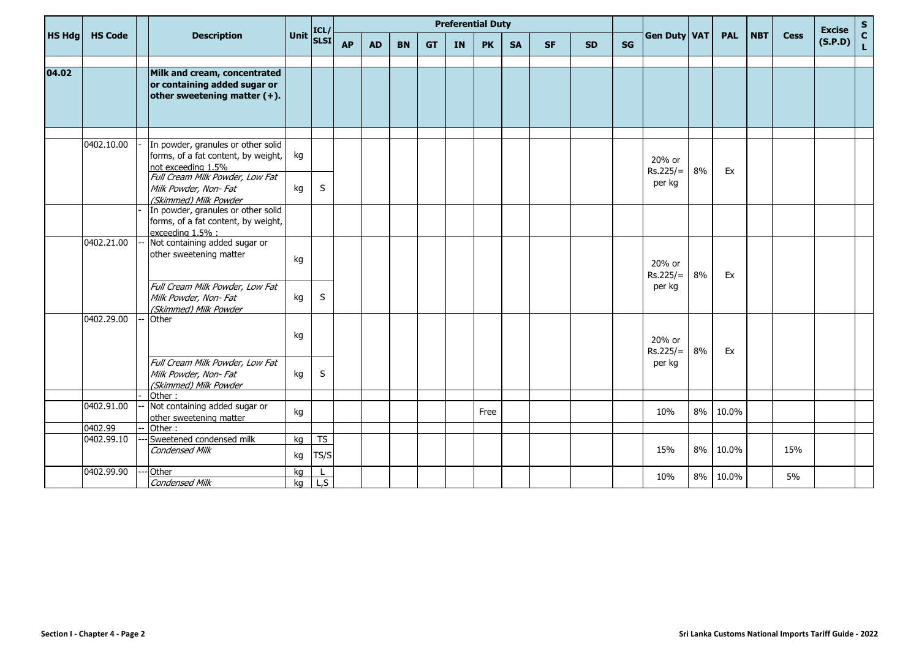|               |                | ICL/                                                                                            | <b>Preferential Duty</b> |                   |           |           |           |           |           |           |           |           |           |    |                      |    |            | <b>Excise</b> |             |         |                                            |
|---------------|----------------|-------------------------------------------------------------------------------------------------|--------------------------|-------------------|-----------|-----------|-----------|-----------|-----------|-----------|-----------|-----------|-----------|----|----------------------|----|------------|---------------|-------------|---------|--------------------------------------------|
| <b>HS Hdg</b> | <b>HS Code</b> | <b>Description</b>                                                                              | <b>Unit</b>              | <b>SLSI</b>       | <b>AP</b> | <b>AD</b> | <b>BN</b> | <b>GT</b> | <b>IN</b> | <b>PK</b> | <b>SA</b> | <b>SF</b> | <b>SD</b> | SG | <b>Gen Duty VAT</b>  |    | <b>PAL</b> | <b>NBT</b>    | <b>Cess</b> | (S.P.D) | $\begin{array}{c} S \\ C \\ L \end{array}$ |
|               |                |                                                                                                 |                          |                   |           |           |           |           |           |           |           |           |           |    |                      |    |            |               |             |         |                                            |
| 04.02         |                | Milk and cream, concentrated<br>or containing added sugar or<br>other sweetening matter $(+)$ . |                          |                   |           |           |           |           |           |           |           |           |           |    |                      |    |            |               |             |         |                                            |
|               |                |                                                                                                 |                          |                   |           |           |           |           |           |           |           |           |           |    |                      |    |            |               |             |         |                                            |
|               | 0402.10.00     | In powder, granules or other solid<br>forms, of a fat content, by weight,<br>not exceeding 1.5% | kg                       |                   |           |           |           |           |           |           |           |           |           |    | 20% or<br>$Rs.225/=$ | 8% | Ex         |               |             |         |                                            |
|               |                | Full Cream Milk Powder, Low Fat<br>Milk Powder, Non-Fat<br>(Skimmed) Milk Powder                | kg                       | S                 |           |           |           |           |           |           |           |           |           |    | per kg               |    |            |               |             |         |                                            |
|               |                | In powder, granules or other solid<br>forms, of a fat content, by weight,<br>exceeding 1.5% :   |                          |                   |           |           |           |           |           |           |           |           |           |    |                      |    |            |               |             |         |                                            |
|               | 0402.21.00     | Not containing added sugar or<br>other sweetening matter                                        | kg                       |                   |           |           |           |           |           |           |           |           |           |    | 20% or<br>$Rs.225/=$ | 8% | Ex         |               |             |         |                                            |
|               |                | Full Cream Milk Powder, Low Fat<br>Milk Powder, Non-Fat<br>(Skimmed) Milk Powder                | kg                       | S                 |           |           |           |           |           |           |           |           |           |    | per kg               |    |            |               |             |         |                                            |
|               | 0402.29.00     | Other                                                                                           | kg                       |                   |           |           |           |           |           |           |           |           |           |    | 20% or<br>$Rs.225/=$ | 8% | Ex         |               |             |         |                                            |
|               |                | Full Cream Milk Powder, Low Fat<br>Milk Powder, Non-Fat<br>(Skimmed) Milk Powder                | kg                       | S                 |           |           |           |           |           |           |           |           |           |    | per kg               |    |            |               |             |         |                                            |
|               | 0402.91.00     | Other:<br>Not containing added sugar or                                                         |                          |                   |           |           |           |           |           |           |           |           |           |    |                      |    |            |               |             |         |                                            |
|               |                | other sweetening matter                                                                         | kg                       |                   |           |           |           |           |           | Free      |           |           |           |    | 10%                  | 8% | 10.0%      |               |             |         |                                            |
|               | 0402.99        | Other:                                                                                          |                          |                   |           |           |           |           |           |           |           |           |           |    |                      |    |            |               |             |         |                                            |
|               | 0402.99.10     | Sweetened condensed milk<br><b>Condensed Milk</b>                                               | ka<br>kg                 | <b>TS</b><br>TS/S |           |           |           |           |           |           |           |           |           |    | 15%                  | 8% | 10.0%      |               | 15%         |         |                                            |
|               | 0402.99.90     | Other                                                                                           | kg                       |                   |           |           |           |           |           |           |           |           |           |    |                      |    |            |               |             |         |                                            |
|               |                | <b>Condensed Milk</b>                                                                           | kg                       | L, S              |           |           |           |           |           |           |           |           |           |    | 10%                  | 8% | 10.0%      |               | 5%          |         |                                            |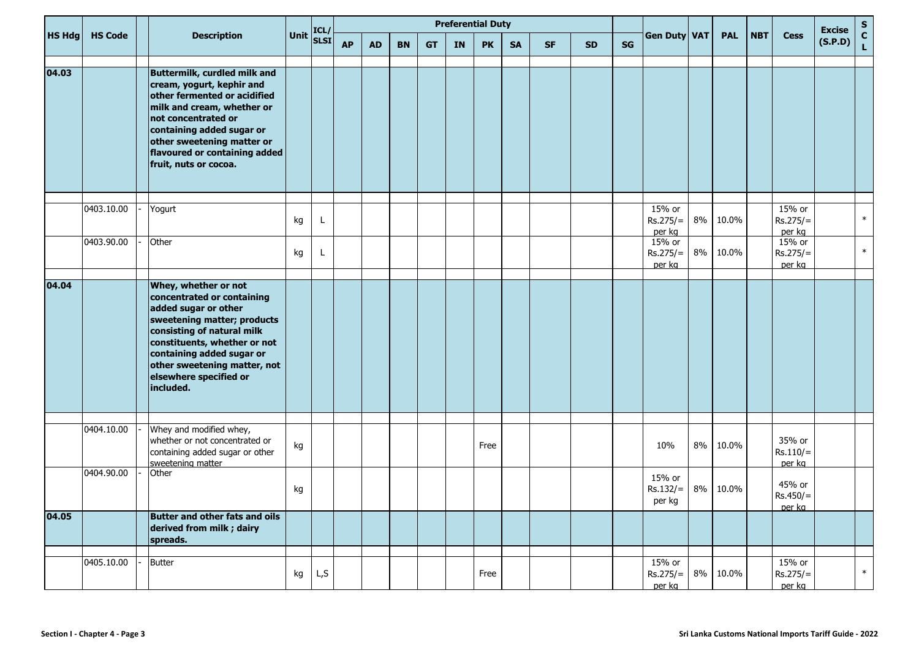|               |                |                                                                                                                                                                                                                                                                             |             | ICL/        |           |           |           |           | <b>Preferential Duty</b> |           |           |           |           |           |                                |    |            | <b>Excise</b> | $\frac{{\sf s}}{{\sf c}}$      |         |              |
|---------------|----------------|-----------------------------------------------------------------------------------------------------------------------------------------------------------------------------------------------------------------------------------------------------------------------------|-------------|-------------|-----------|-----------|-----------|-----------|--------------------------|-----------|-----------|-----------|-----------|-----------|--------------------------------|----|------------|---------------|--------------------------------|---------|--------------|
| <b>HS Hdg</b> | <b>HS Code</b> | <b>Description</b>                                                                                                                                                                                                                                                          | <b>Unit</b> | <b>SLSI</b> | <b>AP</b> | <b>AD</b> | <b>BN</b> | <b>GT</b> | <b>IN</b>                | <b>PK</b> | <b>SA</b> | <b>SF</b> | <b>SD</b> | <b>SG</b> | <b>Gen Duty VAT</b>            |    | <b>PAL</b> | <b>NBT</b>    | <b>Cess</b>                    | (S.P.D) | $\mathbf{L}$ |
| 04.03         |                | Buttermilk, curdled milk and<br>cream, yogurt, kephir and<br>other fermented or acidified<br>milk and cream, whether or<br>not concentrated or<br>containing added sugar or<br>other sweetening matter or<br>flavoured or containing added<br>fruit, nuts or cocoa.         |             |             |           |           |           |           |                          |           |           |           |           |           |                                |    |            |               |                                |         |              |
|               | 0403.10.00     | Yogurt                                                                                                                                                                                                                                                                      | kg          | L           |           |           |           |           |                          |           |           |           |           |           | 15% or<br>$Rs.275/=$<br>per kg | 8% | 10.0%      |               | 15% or<br>$Rs.275/=$<br>per kg |         | $\ast$       |
|               | 0403.90.00     | Other                                                                                                                                                                                                                                                                       | kg          | L.          |           |           |           |           |                          |           |           |           |           |           | 15% or<br>$Rs.275/=$<br>per kg | 8% | 10.0%      |               | 15% or<br>$Rs.275/=$<br>per kg |         | $\ast$       |
| 04.04         |                | Whey, whether or not<br>concentrated or containing<br>added sugar or other<br>sweetening matter; products<br>consisting of natural milk<br>constituents, whether or not<br>containing added sugar or<br>other sweetening matter, not<br>elsewhere specified or<br>included. |             |             |           |           |           |           |                          |           |           |           |           |           |                                |    |            |               |                                |         |              |
|               | 0404.10.00     | Whey and modified whey,<br>whether or not concentrated or<br>containing added sugar or other<br>sweetening matter                                                                                                                                                           | kg          |             |           |           |           |           |                          | Free      |           |           |           |           | 10%                            | 8% | 10.0%      |               | 35% or<br>$Rs.110/=$<br>per ka |         |              |
|               | 0404.90.00     | Other                                                                                                                                                                                                                                                                       | kg          |             |           |           |           |           |                          |           |           |           |           |           | 15% or<br>$Rs.132/=$<br>per kg | 8% | 10.0%      |               | 45% or<br>$Rs.450/=$<br>per ka |         |              |
| 04.05         |                | <b>Butter and other fats and oils</b><br>derived from milk; dairy<br>spreads.                                                                                                                                                                                               |             |             |           |           |           |           |                          |           |           |           |           |           |                                |    |            |               |                                |         |              |
|               | 0405.10.00     | <b>Butter</b>                                                                                                                                                                                                                                                               | kg          | L,S         |           |           |           |           |                          | Free      |           |           |           |           | 15% or<br>$Rs.275/=$<br>per kg | 8% | 10.0%      |               | 15% or<br>$Rs.275/=$<br>per kg |         | $\ast$       |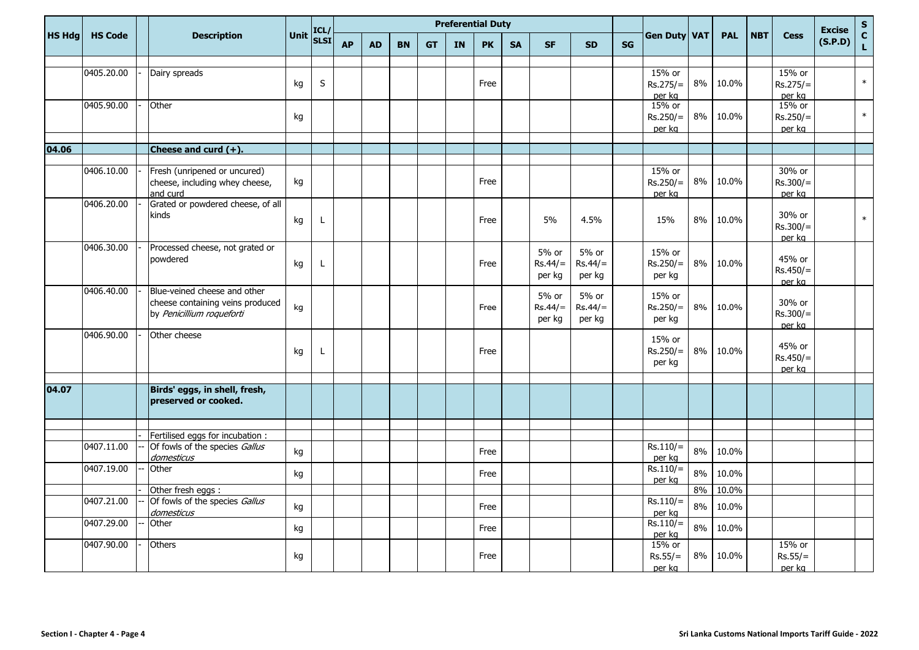| $\mathbf{C}$<br>Unit<br><b>Gen Duty VAT</b><br><b>HS Hdg</b><br><b>HS Code</b><br><b>Description</b><br><b>PAL</b><br><b>NBT</b><br><b>Cess</b><br><b>SLSI</b><br>(S.P.D)<br><b>AP</b><br><b>PK</b><br><b>SF</b><br><b>SG</b><br><b>BN</b><br><b>GT</b><br><b>IN</b><br><b>SA</b><br><b>SD</b><br><b>AD</b><br>$\mathbf{L}$<br>0405.20.00<br>15% or<br>Dairy spreads<br>15% or<br>$\ast$<br>$\sf S$<br>8%<br>10.0%<br>kg<br>Free<br>$Rs.275/=$<br>$Rs.275/=$<br>per kg<br>per kg<br>0405.90.00<br>15% or<br>15% or<br>Other<br>$\ast$<br>$8\%$<br>10.0%<br>kg<br>$Rs.250/=$<br>$Rs.250/=$<br>per kg<br>per kg<br>04.06<br>Cheese and curd $(+)$ .<br>15% or<br>30% or<br>0406.10.00<br>Fresh (unripened or uncured)<br>8%<br>Free<br>10.0%<br>cheese, including whey cheese,<br>kg<br>$Rs.250/=$<br>$Rs.300/=$<br>and curd<br>per kg<br>per kg<br>Grated or powdered cheese, of all<br>0406.20.00<br>30% or<br>kinds<br>$\ast$<br>5%<br>4.5%<br>8%<br>10.0%<br>kg<br>15%<br>L<br>Free<br>$Rs.300/=$<br>per ka<br>0406.30.00<br>Processed cheese, not grated or<br>5% or<br>5% or<br>15% or<br>powdered<br>45% or<br>$Rs.44/=$<br>$Rs.250/=$<br>8%<br>10.0%<br>Free<br>$Rs.44/=$<br>kg<br>L<br>$Rs.450/=$<br>per kg<br>per kg<br>per kg<br>per ka<br>Blue-veined cheese and other<br>0406.40.00<br>5% or<br>5% or<br>15% or<br>cheese containing veins produced<br>30% or<br>8%<br>$Rs.44/=$<br>$Rs.250/=$<br>kg<br>$Rs.44/=$<br>10.0%<br>Free<br>by Penicillium roqueforti<br>$Rs.300/=$<br>per kg<br>per kg<br>per kg<br>per ka<br>0406.90.00<br>Other cheese<br>15% or<br>45% or<br>$Rs.250/=$<br>8%<br>10.0%<br>Free<br>kg<br>L<br>$Rs.450/=$<br>per kg<br>per ka<br>Birds' eggs, in shell, fresh,<br>04.07<br>preserved or cooked.<br>Fertilised eggs for incubation :<br>0407.11.00<br>Of fowls of the species Gallus<br>$Rs.110/=$<br>8%<br>10.0%<br>kg<br>Free<br>per kg<br>domesticus<br>0407.19.00<br>$Rs.110/=$<br>Other<br>8%<br>10.0%<br>kg<br>Free<br>per kg<br>10.0%<br>8%<br>Other fresh eggs :<br>Of fowls of the species Gallus<br>0407.21.00<br>$Rs.110/=$<br>8%<br>10.0%<br>kg<br>Free<br>domesticus<br>per kg<br>0407.29.00<br>Other<br>$Rs.110/=$<br>8%<br>10.0%<br>kg<br>Free<br>per kg<br>0407.90.00<br>15% or<br>15% or<br>Others<br>8%<br>10.0%<br>kg<br>Free<br>$Rs.55/=$<br>$Rs.55/=$ |  |  | ICL/ |  |  | <b>Preferential Duty</b> |  |  |  |        | <b>Excise</b> | $\mathbf S$ |  |  |
|------------------------------------------------------------------------------------------------------------------------------------------------------------------------------------------------------------------------------------------------------------------------------------------------------------------------------------------------------------------------------------------------------------------------------------------------------------------------------------------------------------------------------------------------------------------------------------------------------------------------------------------------------------------------------------------------------------------------------------------------------------------------------------------------------------------------------------------------------------------------------------------------------------------------------------------------------------------------------------------------------------------------------------------------------------------------------------------------------------------------------------------------------------------------------------------------------------------------------------------------------------------------------------------------------------------------------------------------------------------------------------------------------------------------------------------------------------------------------------------------------------------------------------------------------------------------------------------------------------------------------------------------------------------------------------------------------------------------------------------------------------------------------------------------------------------------------------------------------------------------------------------------------------------------------------------------------------------------------------------------------------------------------------------------------------------------------------------------------------------------------------------------------------------------------------------------------------------------------------------------------------------------------------------------------------------|--|--|------|--|--|--------------------------|--|--|--|--------|---------------|-------------|--|--|
|                                                                                                                                                                                                                                                                                                                                                                                                                                                                                                                                                                                                                                                                                                                                                                                                                                                                                                                                                                                                                                                                                                                                                                                                                                                                                                                                                                                                                                                                                                                                                                                                                                                                                                                                                                                                                                                                                                                                                                                                                                                                                                                                                                                                                                                                                                                  |  |  |      |  |  |                          |  |  |  |        |               |             |  |  |
|                                                                                                                                                                                                                                                                                                                                                                                                                                                                                                                                                                                                                                                                                                                                                                                                                                                                                                                                                                                                                                                                                                                                                                                                                                                                                                                                                                                                                                                                                                                                                                                                                                                                                                                                                                                                                                                                                                                                                                                                                                                                                                                                                                                                                                                                                                                  |  |  |      |  |  |                          |  |  |  |        |               |             |  |  |
|                                                                                                                                                                                                                                                                                                                                                                                                                                                                                                                                                                                                                                                                                                                                                                                                                                                                                                                                                                                                                                                                                                                                                                                                                                                                                                                                                                                                                                                                                                                                                                                                                                                                                                                                                                                                                                                                                                                                                                                                                                                                                                                                                                                                                                                                                                                  |  |  |      |  |  |                          |  |  |  |        |               |             |  |  |
|                                                                                                                                                                                                                                                                                                                                                                                                                                                                                                                                                                                                                                                                                                                                                                                                                                                                                                                                                                                                                                                                                                                                                                                                                                                                                                                                                                                                                                                                                                                                                                                                                                                                                                                                                                                                                                                                                                                                                                                                                                                                                                                                                                                                                                                                                                                  |  |  |      |  |  |                          |  |  |  |        |               |             |  |  |
|                                                                                                                                                                                                                                                                                                                                                                                                                                                                                                                                                                                                                                                                                                                                                                                                                                                                                                                                                                                                                                                                                                                                                                                                                                                                                                                                                                                                                                                                                                                                                                                                                                                                                                                                                                                                                                                                                                                                                                                                                                                                                                                                                                                                                                                                                                                  |  |  |      |  |  |                          |  |  |  |        |               |             |  |  |
|                                                                                                                                                                                                                                                                                                                                                                                                                                                                                                                                                                                                                                                                                                                                                                                                                                                                                                                                                                                                                                                                                                                                                                                                                                                                                                                                                                                                                                                                                                                                                                                                                                                                                                                                                                                                                                                                                                                                                                                                                                                                                                                                                                                                                                                                                                                  |  |  |      |  |  |                          |  |  |  |        |               |             |  |  |
|                                                                                                                                                                                                                                                                                                                                                                                                                                                                                                                                                                                                                                                                                                                                                                                                                                                                                                                                                                                                                                                                                                                                                                                                                                                                                                                                                                                                                                                                                                                                                                                                                                                                                                                                                                                                                                                                                                                                                                                                                                                                                                                                                                                                                                                                                                                  |  |  |      |  |  |                          |  |  |  |        |               |             |  |  |
|                                                                                                                                                                                                                                                                                                                                                                                                                                                                                                                                                                                                                                                                                                                                                                                                                                                                                                                                                                                                                                                                                                                                                                                                                                                                                                                                                                                                                                                                                                                                                                                                                                                                                                                                                                                                                                                                                                                                                                                                                                                                                                                                                                                                                                                                                                                  |  |  |      |  |  |                          |  |  |  |        |               |             |  |  |
|                                                                                                                                                                                                                                                                                                                                                                                                                                                                                                                                                                                                                                                                                                                                                                                                                                                                                                                                                                                                                                                                                                                                                                                                                                                                                                                                                                                                                                                                                                                                                                                                                                                                                                                                                                                                                                                                                                                                                                                                                                                                                                                                                                                                                                                                                                                  |  |  |      |  |  |                          |  |  |  |        |               |             |  |  |
|                                                                                                                                                                                                                                                                                                                                                                                                                                                                                                                                                                                                                                                                                                                                                                                                                                                                                                                                                                                                                                                                                                                                                                                                                                                                                                                                                                                                                                                                                                                                                                                                                                                                                                                                                                                                                                                                                                                                                                                                                                                                                                                                                                                                                                                                                                                  |  |  |      |  |  |                          |  |  |  |        |               |             |  |  |
|                                                                                                                                                                                                                                                                                                                                                                                                                                                                                                                                                                                                                                                                                                                                                                                                                                                                                                                                                                                                                                                                                                                                                                                                                                                                                                                                                                                                                                                                                                                                                                                                                                                                                                                                                                                                                                                                                                                                                                                                                                                                                                                                                                                                                                                                                                                  |  |  |      |  |  |                          |  |  |  |        |               |             |  |  |
|                                                                                                                                                                                                                                                                                                                                                                                                                                                                                                                                                                                                                                                                                                                                                                                                                                                                                                                                                                                                                                                                                                                                                                                                                                                                                                                                                                                                                                                                                                                                                                                                                                                                                                                                                                                                                                                                                                                                                                                                                                                                                                                                                                                                                                                                                                                  |  |  |      |  |  |                          |  |  |  |        |               |             |  |  |
|                                                                                                                                                                                                                                                                                                                                                                                                                                                                                                                                                                                                                                                                                                                                                                                                                                                                                                                                                                                                                                                                                                                                                                                                                                                                                                                                                                                                                                                                                                                                                                                                                                                                                                                                                                                                                                                                                                                                                                                                                                                                                                                                                                                                                                                                                                                  |  |  |      |  |  |                          |  |  |  |        |               |             |  |  |
|                                                                                                                                                                                                                                                                                                                                                                                                                                                                                                                                                                                                                                                                                                                                                                                                                                                                                                                                                                                                                                                                                                                                                                                                                                                                                                                                                                                                                                                                                                                                                                                                                                                                                                                                                                                                                                                                                                                                                                                                                                                                                                                                                                                                                                                                                                                  |  |  |      |  |  |                          |  |  |  |        |               |             |  |  |
|                                                                                                                                                                                                                                                                                                                                                                                                                                                                                                                                                                                                                                                                                                                                                                                                                                                                                                                                                                                                                                                                                                                                                                                                                                                                                                                                                                                                                                                                                                                                                                                                                                                                                                                                                                                                                                                                                                                                                                                                                                                                                                                                                                                                                                                                                                                  |  |  |      |  |  |                          |  |  |  |        |               |             |  |  |
|                                                                                                                                                                                                                                                                                                                                                                                                                                                                                                                                                                                                                                                                                                                                                                                                                                                                                                                                                                                                                                                                                                                                                                                                                                                                                                                                                                                                                                                                                                                                                                                                                                                                                                                                                                                                                                                                                                                                                                                                                                                                                                                                                                                                                                                                                                                  |  |  |      |  |  |                          |  |  |  |        |               |             |  |  |
|                                                                                                                                                                                                                                                                                                                                                                                                                                                                                                                                                                                                                                                                                                                                                                                                                                                                                                                                                                                                                                                                                                                                                                                                                                                                                                                                                                                                                                                                                                                                                                                                                                                                                                                                                                                                                                                                                                                                                                                                                                                                                                                                                                                                                                                                                                                  |  |  |      |  |  |                          |  |  |  |        |               |             |  |  |
|                                                                                                                                                                                                                                                                                                                                                                                                                                                                                                                                                                                                                                                                                                                                                                                                                                                                                                                                                                                                                                                                                                                                                                                                                                                                                                                                                                                                                                                                                                                                                                                                                                                                                                                                                                                                                                                                                                                                                                                                                                                                                                                                                                                                                                                                                                                  |  |  |      |  |  |                          |  |  |  |        |               |             |  |  |
|                                                                                                                                                                                                                                                                                                                                                                                                                                                                                                                                                                                                                                                                                                                                                                                                                                                                                                                                                                                                                                                                                                                                                                                                                                                                                                                                                                                                                                                                                                                                                                                                                                                                                                                                                                                                                                                                                                                                                                                                                                                                                                                                                                                                                                                                                                                  |  |  |      |  |  |                          |  |  |  |        |               |             |  |  |
|                                                                                                                                                                                                                                                                                                                                                                                                                                                                                                                                                                                                                                                                                                                                                                                                                                                                                                                                                                                                                                                                                                                                                                                                                                                                                                                                                                                                                                                                                                                                                                                                                                                                                                                                                                                                                                                                                                                                                                                                                                                                                                                                                                                                                                                                                                                  |  |  |      |  |  |                          |  |  |  |        |               |             |  |  |
|                                                                                                                                                                                                                                                                                                                                                                                                                                                                                                                                                                                                                                                                                                                                                                                                                                                                                                                                                                                                                                                                                                                                                                                                                                                                                                                                                                                                                                                                                                                                                                                                                                                                                                                                                                                                                                                                                                                                                                                                                                                                                                                                                                                                                                                                                                                  |  |  |      |  |  |                          |  |  |  |        |               |             |  |  |
|                                                                                                                                                                                                                                                                                                                                                                                                                                                                                                                                                                                                                                                                                                                                                                                                                                                                                                                                                                                                                                                                                                                                                                                                                                                                                                                                                                                                                                                                                                                                                                                                                                                                                                                                                                                                                                                                                                                                                                                                                                                                                                                                                                                                                                                                                                                  |  |  |      |  |  |                          |  |  |  |        |               |             |  |  |
|                                                                                                                                                                                                                                                                                                                                                                                                                                                                                                                                                                                                                                                                                                                                                                                                                                                                                                                                                                                                                                                                                                                                                                                                                                                                                                                                                                                                                                                                                                                                                                                                                                                                                                                                                                                                                                                                                                                                                                                                                                                                                                                                                                                                                                                                                                                  |  |  |      |  |  |                          |  |  |  |        |               |             |  |  |
|                                                                                                                                                                                                                                                                                                                                                                                                                                                                                                                                                                                                                                                                                                                                                                                                                                                                                                                                                                                                                                                                                                                                                                                                                                                                                                                                                                                                                                                                                                                                                                                                                                                                                                                                                                                                                                                                                                                                                                                                                                                                                                                                                                                                                                                                                                                  |  |  |      |  |  |                          |  |  |  |        |               |             |  |  |
|                                                                                                                                                                                                                                                                                                                                                                                                                                                                                                                                                                                                                                                                                                                                                                                                                                                                                                                                                                                                                                                                                                                                                                                                                                                                                                                                                                                                                                                                                                                                                                                                                                                                                                                                                                                                                                                                                                                                                                                                                                                                                                                                                                                                                                                                                                                  |  |  |      |  |  |                          |  |  |  |        |               |             |  |  |
|                                                                                                                                                                                                                                                                                                                                                                                                                                                                                                                                                                                                                                                                                                                                                                                                                                                                                                                                                                                                                                                                                                                                                                                                                                                                                                                                                                                                                                                                                                                                                                                                                                                                                                                                                                                                                                                                                                                                                                                                                                                                                                                                                                                                                                                                                                                  |  |  |      |  |  |                          |  |  |  |        |               |             |  |  |
|                                                                                                                                                                                                                                                                                                                                                                                                                                                                                                                                                                                                                                                                                                                                                                                                                                                                                                                                                                                                                                                                                                                                                                                                                                                                                                                                                                                                                                                                                                                                                                                                                                                                                                                                                                                                                                                                                                                                                                                                                                                                                                                                                                                                                                                                                                                  |  |  |      |  |  |                          |  |  |  |        |               |             |  |  |
|                                                                                                                                                                                                                                                                                                                                                                                                                                                                                                                                                                                                                                                                                                                                                                                                                                                                                                                                                                                                                                                                                                                                                                                                                                                                                                                                                                                                                                                                                                                                                                                                                                                                                                                                                                                                                                                                                                                                                                                                                                                                                                                                                                                                                                                                                                                  |  |  |      |  |  |                          |  |  |  |        |               |             |  |  |
|                                                                                                                                                                                                                                                                                                                                                                                                                                                                                                                                                                                                                                                                                                                                                                                                                                                                                                                                                                                                                                                                                                                                                                                                                                                                                                                                                                                                                                                                                                                                                                                                                                                                                                                                                                                                                                                                                                                                                                                                                                                                                                                                                                                                                                                                                                                  |  |  |      |  |  |                          |  |  |  |        |               |             |  |  |
|                                                                                                                                                                                                                                                                                                                                                                                                                                                                                                                                                                                                                                                                                                                                                                                                                                                                                                                                                                                                                                                                                                                                                                                                                                                                                                                                                                                                                                                                                                                                                                                                                                                                                                                                                                                                                                                                                                                                                                                                                                                                                                                                                                                                                                                                                                                  |  |  |      |  |  |                          |  |  |  |        |               |             |  |  |
|                                                                                                                                                                                                                                                                                                                                                                                                                                                                                                                                                                                                                                                                                                                                                                                                                                                                                                                                                                                                                                                                                                                                                                                                                                                                                                                                                                                                                                                                                                                                                                                                                                                                                                                                                                                                                                                                                                                                                                                                                                                                                                                                                                                                                                                                                                                  |  |  |      |  |  |                          |  |  |  |        |               |             |  |  |
|                                                                                                                                                                                                                                                                                                                                                                                                                                                                                                                                                                                                                                                                                                                                                                                                                                                                                                                                                                                                                                                                                                                                                                                                                                                                                                                                                                                                                                                                                                                                                                                                                                                                                                                                                                                                                                                                                                                                                                                                                                                                                                                                                                                                                                                                                                                  |  |  |      |  |  |                          |  |  |  |        |               |             |  |  |
|                                                                                                                                                                                                                                                                                                                                                                                                                                                                                                                                                                                                                                                                                                                                                                                                                                                                                                                                                                                                                                                                                                                                                                                                                                                                                                                                                                                                                                                                                                                                                                                                                                                                                                                                                                                                                                                                                                                                                                                                                                                                                                                                                                                                                                                                                                                  |  |  |      |  |  |                          |  |  |  |        |               |             |  |  |
|                                                                                                                                                                                                                                                                                                                                                                                                                                                                                                                                                                                                                                                                                                                                                                                                                                                                                                                                                                                                                                                                                                                                                                                                                                                                                                                                                                                                                                                                                                                                                                                                                                                                                                                                                                                                                                                                                                                                                                                                                                                                                                                                                                                                                                                                                                                  |  |  |      |  |  |                          |  |  |  |        |               |             |  |  |
|                                                                                                                                                                                                                                                                                                                                                                                                                                                                                                                                                                                                                                                                                                                                                                                                                                                                                                                                                                                                                                                                                                                                                                                                                                                                                                                                                                                                                                                                                                                                                                                                                                                                                                                                                                                                                                                                                                                                                                                                                                                                                                                                                                                                                                                                                                                  |  |  |      |  |  |                          |  |  |  |        |               |             |  |  |
|                                                                                                                                                                                                                                                                                                                                                                                                                                                                                                                                                                                                                                                                                                                                                                                                                                                                                                                                                                                                                                                                                                                                                                                                                                                                                                                                                                                                                                                                                                                                                                                                                                                                                                                                                                                                                                                                                                                                                                                                                                                                                                                                                                                                                                                                                                                  |  |  |      |  |  |                          |  |  |  |        |               |             |  |  |
|                                                                                                                                                                                                                                                                                                                                                                                                                                                                                                                                                                                                                                                                                                                                                                                                                                                                                                                                                                                                                                                                                                                                                                                                                                                                                                                                                                                                                                                                                                                                                                                                                                                                                                                                                                                                                                                                                                                                                                                                                                                                                                                                                                                                                                                                                                                  |  |  |      |  |  |                          |  |  |  |        |               |             |  |  |
|                                                                                                                                                                                                                                                                                                                                                                                                                                                                                                                                                                                                                                                                                                                                                                                                                                                                                                                                                                                                                                                                                                                                                                                                                                                                                                                                                                                                                                                                                                                                                                                                                                                                                                                                                                                                                                                                                                                                                                                                                                                                                                                                                                                                                                                                                                                  |  |  |      |  |  |                          |  |  |  | per kg |               | per kg      |  |  |